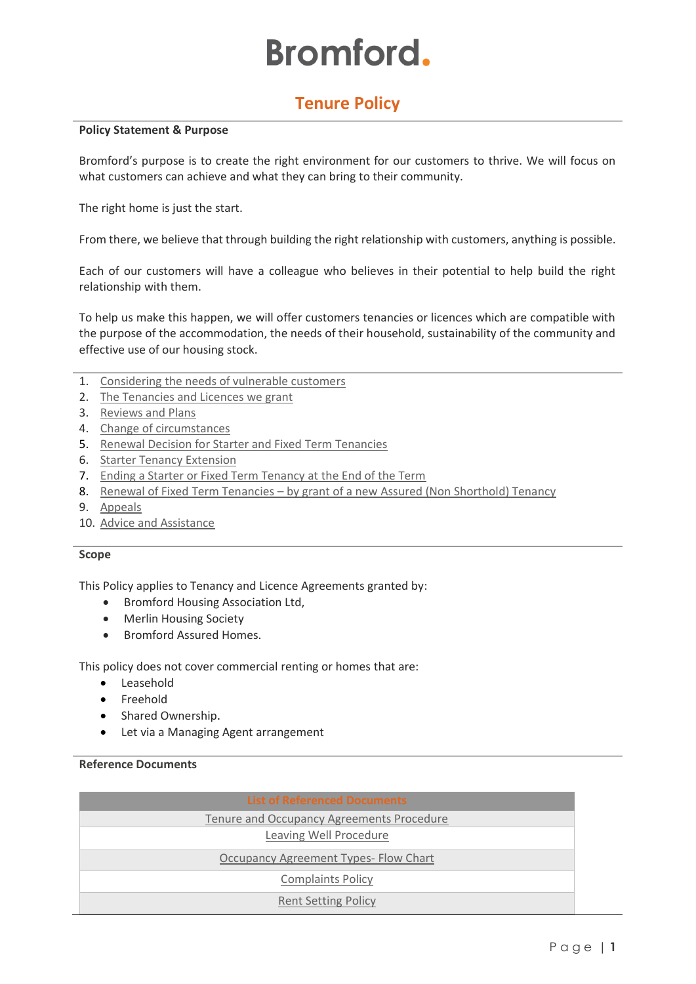# **Bromford.**

# **Tenure Policy**

#### **Policy Statement & Purpose**

Bromford's purpose is to create the right environment for our customers to thrive. We will focus on what customers can achieve and what they can bring to their community.

The right home is just the start.

From there, we believe that through building the right relationship with customers, anything is possible.

Each of our customers will have a colleague who believes in their potential to help build the right relationship with them.

To help us make this happen, we will offer customers tenancies or licences which are compatible with the purpose of the accommodation, the needs of their household, sustainability of the community and effective use of our housing stock.

- 1. Considering [the needs of vulnerable customers](#page-1-0)
- 2. [The Tenancies and Licences we grant](#page-1-1)
- 3. [Reviews and Plans](#page-3-0)
- 4. [Change of circumstances](#page-3-1)
- 5. [Renewal Decision for Starter and Fixed Term Tenancies](#page-4-0)
- 6. [Starter Tenancy Extension](#page-4-1)
- 7. [Ending a Starter or Fixed Term Tenancy at the End of the Term](#page-4-2)
- 8. Renewal of Fixed Term Tenancies [by grant of a new Assured \(Non Shorthold\) Tenancy](#page-4-0)
- 9. [Appeals](#page-5-0)
- 10. [Advice and Assistance](#page-5-1)

# **Scope**

This Policy applies to Tenancy and Licence Agreements granted by:

- Bromford Housing Association Ltd,
- Merlin Housing Society
- Bromford Assured Homes.

This policy does not cover commercial renting or homes that are:

- Leasehold
- Freehold
- Shared Ownership.
- Let via a Managing Agent arrangement

# **Reference Documents**

| <b>List of Referenced Documents</b>              |
|--------------------------------------------------|
| <b>Tenure and Occupancy Agreements Procedure</b> |
| Leaving Well Procedure                           |
| Occupancy Agreement Types- Flow Chart            |
| <b>Complaints Policy</b>                         |
| <b>Rent Setting Policy</b>                       |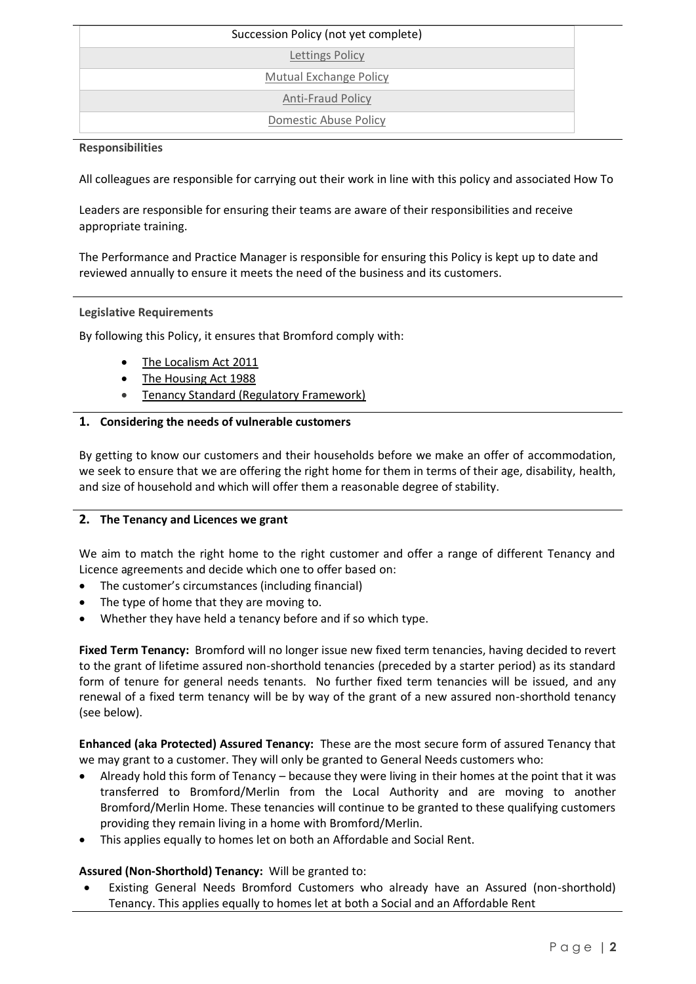| Succession Policy (not yet complete) |
|--------------------------------------|
| <b>Lettings Policy</b>               |
| <b>Mutual Exchange Policy</b>        |
| <b>Anti-Fraud Policy</b>             |
| <b>Domestic Abuse Policy</b>         |

# **Responsibilities**

All colleagues are responsible for carrying out their work in line with this policy and associated How To

Leaders are responsible for ensuring their teams are aware of their responsibilities and receive appropriate training.

The Performance and Practice Manager is responsible for ensuring this Policy is kept up to date and reviewed annually to ensure it meets the need of the business and its customers.

# **Legislative Requirements**

By following this Policy, it ensures that Bromford comply with:

- [The Localism Act 2011](http://www.legislation.gov.uk/ukpga/2011/20/contents/enacted)
- [The Housing Act 1988](http://www.google.com/url?sa=t&rct=j&q=&esrc=s&frm=1&source=web&cd=1&cad=rja&ved=0CD8QFjAA&url=http%3A%2F%2Fwww.legislation.gov.uk%2Fukpga%2F2004%2F34%2Fcontents&ei=HGs5UoysHMPK0AWJv4CQBA&usg=AFQjCNHF-EK9XRzS1cKsxuWl-66jiN8qeQ&bvm=bv.52288139,d.d2k)
- Tenancy Standard (Regulatory Framework)

# <span id="page-1-0"></span>**1. Considering the needs of vulnerable customers**

By getting to know our customers and their households before we make an offer of accommodation, we seek to ensure that we are offering the right home for them in terms of their age, disability, health, and size of household and which will offer them a reasonable degree of stability.

# <span id="page-1-1"></span>**2. The Tenancy and Licences we grant**

We aim to match the right home to the right customer and offer a range of different Tenancy and Licence agreements and decide which one to offer based on:

- The customer's circumstances (including financial)
- The type of home that they are moving to.
- Whether they have held a tenancy before and if so which type.

**Fixed Term Tenancy:** Bromford will no longer issue new fixed term tenancies, having decided to revert to the grant of lifetime assured non-shorthold tenancies (preceded by a starter period) as its standard form of tenure for general needs tenants. No further fixed term tenancies will be issued, and any renewal of a fixed term tenancy will be by way of the grant of a new assured non-shorthold tenancy (see below).

**Enhanced (aka Protected) Assured Tenancy:** These are the most secure form of assured Tenancy that we may grant to a customer. They will only be granted to General Needs customers who:

- Already hold this form of Tenancy because they were living in their homes at the point that it was transferred to Bromford/Merlin from the Local Authority and are moving to another Bromford/Merlin Home. These tenancies will continue to be granted to these qualifying customers providing they remain living in a home with Bromford/Merlin.
- This applies equally to homes let on both an Affordable and Social Rent.

# **Assured (Non-Shorthold) Tenancy:** Will be granted to:

• Existing General Needs Bromford Customers who already have an Assured (non-shorthold) Tenancy. This applies equally to homes let at both a Social and an Affordable Rent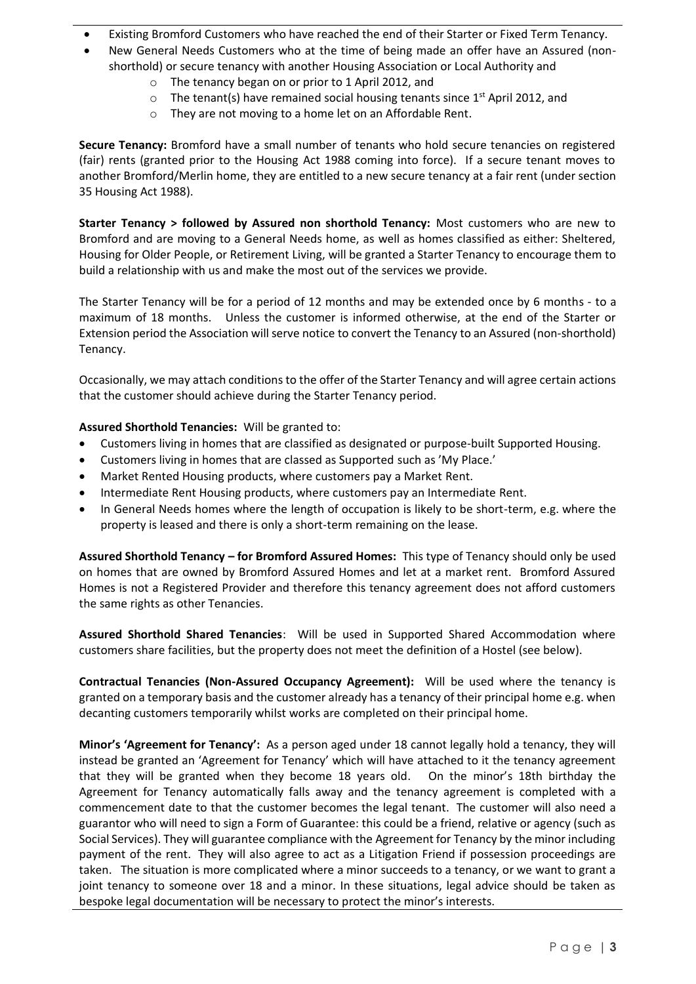- Existing Bromford Customers who have reached the end of their Starter or Fixed Term Tenancy.
- New General Needs Customers who at the time of being made an offer have an Assured (nonshorthold) or secure tenancy with another Housing Association or Local Authority and
	- o The tenancy began on or prior to 1 April 2012, and
	- $\circ$  The tenant(s) have remained social housing tenants since 1<sup>st</sup> April 2012, and
	- o They are not moving to a home let on an Affordable Rent.

**Secure Tenancy:** Bromford have a small number of tenants who hold secure tenancies on registered (fair) rents (granted prior to the Housing Act 1988 coming into force). If a secure tenant moves to another Bromford/Merlin home, they are entitled to a new secure tenancy at a fair rent (under section 35 Housing Act 1988).

**Starter Tenancy > followed by Assured non shorthold Tenancy:** Most customers who are new to Bromford and are moving to a General Needs home, as well as homes classified as either: Sheltered, Housing for Older People, or Retirement Living, will be granted a Starter Tenancy to encourage them to build a relationship with us and make the most out of the services we provide.

The Starter Tenancy will be for a period of 12 months and may be extended once by 6 months - to a maximum of 18 months. Unless the customer is informed otherwise, at the end of the Starter or Extension period the Association will serve notice to convert the Tenancy to an Assured (non-shorthold) Tenancy.

Occasionally, we may attach conditions to the offer of the Starter Tenancy and will agree certain actions that the customer should achieve during the Starter Tenancy period.

**Assured Shorthold Tenancies:** Will be granted to:

- Customers living in homes that are classified as designated or purpose-built Supported Housing.
- Customers living in homes that are classed as Supported such as 'My Place.'
- Market Rented Housing products, where customers pay a Market Rent.
- Intermediate Rent Housing products, where customers pay an Intermediate Rent.
- In General Needs homes where the length of occupation is likely to be short-term, e.g. where the property is leased and there is only a short-term remaining on the lease.

**Assured Shorthold Tenancy – for Bromford Assured Homes:** This type of Tenancy should only be used on homes that are owned by Bromford Assured Homes and let at a market rent. Bromford Assured Homes is not a Registered Provider and therefore this tenancy agreement does not afford customers the same rights as other Tenancies.

**Assured Shorthold Shared Tenancies**: Will be used in Supported Shared Accommodation where customers share facilities, but the property does not meet the definition of a Hostel (see below).

**Contractual Tenancies (Non-Assured Occupancy Agreement):** Will be used where the tenancy is granted on a temporary basis and the customer already has a tenancy of their principal home e.g. when decanting customers temporarily whilst works are completed on their principal home.

**Minor's 'Agreement for Tenancy':** As a person aged under 18 cannot legally hold a tenancy, they will instead be granted an 'Agreement for Tenancy' which will have attached to it the tenancy agreement that they will be granted when they become 18 years old. On the minor's 18th birthday the Agreement for Tenancy automatically falls away and the tenancy agreement is completed with a commencement date to that the customer becomes the legal tenant. The customer will also need a guarantor who will need to sign a Form of Guarantee: this could be a friend, relative or agency (such as Social Services). They will guarantee compliance with the Agreement for Tenancy by the minor including payment of the rent. They will also agree to act as a Litigation Friend if possession proceedings are taken. The situation is more complicated where a minor succeeds to a tenancy, or we want to grant a joint tenancy to someone over 18 and a minor. In these situations, legal advice should be taken as bespoke legal documentation will be necessary to protect the minor's interests.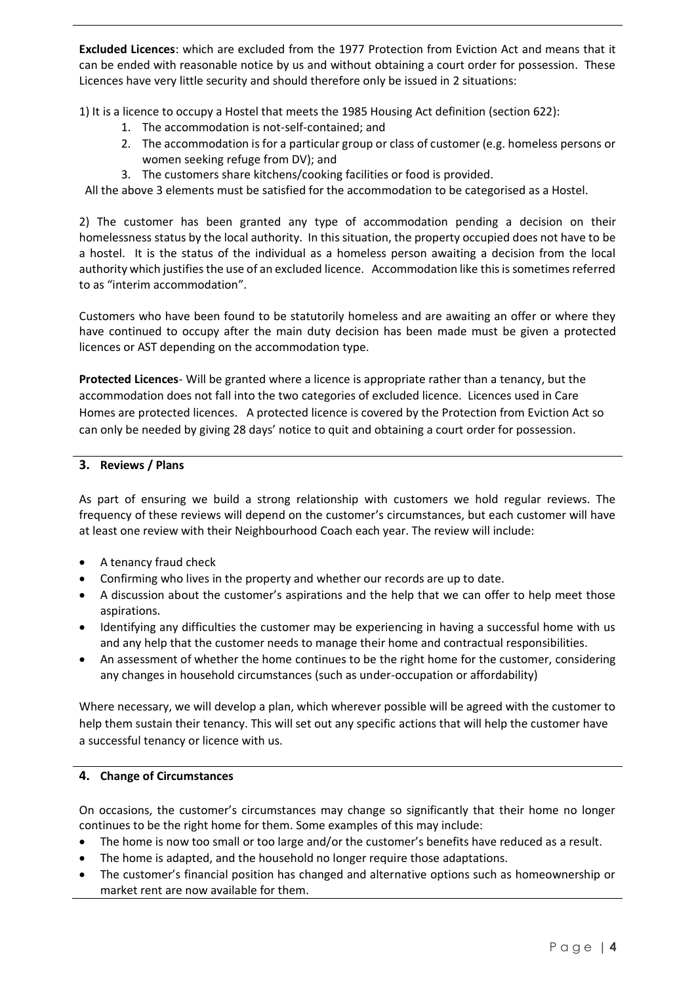**Excluded Licences**: which are excluded from the 1977 Protection from Eviction Act and means that it can be ended with reasonable notice by us and without obtaining a court order for possession. These Licences have very little security and should therefore only be issued in 2 situations:

1) It is a licence to occupy a Hostel that meets the 1985 Housing Act definition (section 622):

- 1. The accommodation is not-self-contained; and
- 2. The accommodation is for a particular group or class of customer (e.g. homeless persons or women seeking refuge from DV); and
- 3. The customers share kitchens/cooking facilities or food is provided.

All the above 3 elements must be satisfied for the accommodation to be categorised as a Hostel.

2) The customer has been granted any type of accommodation pending a decision on their homelessness status by the local authority. In this situation, the property occupied does not have to be a hostel. It is the status of the individual as a homeless person awaiting a decision from the local authority which justifies the use of an excluded licence. Accommodation like this is sometimes referred to as "interim accommodation".

Customers who have been found to be statutorily homeless and are awaiting an offer or where they have continued to occupy after the main duty decision has been made must be given a protected licences or AST depending on the accommodation type.

**Protected Licences**- Will be granted where a licence is appropriate rather than a tenancy, but the accommodation does not fall into the two categories of excluded licence. Licences used in Care Homes are protected licences. A protected licence is covered by the Protection from Eviction Act so can only be needed by giving 28 days' notice to quit and obtaining a court order for possession.

# <span id="page-3-0"></span>**3. Reviews / Plans**

As part of ensuring we build a strong relationship with customers we hold regular reviews. The frequency of these reviews will depend on the customer's circumstances, but each customer will have at least one review with their Neighbourhood Coach each year. The review will include:

- A tenancy fraud check
- Confirming who lives in the property and whether our records are up to date.
- A discussion about the customer's aspirations and the help that we can offer to help meet those aspirations.
- Identifying any difficulties the customer may be experiencing in having a successful home with us and any help that the customer needs to manage their home and contractual responsibilities.
- An assessment of whether the home continues to be the right home for the customer, considering any changes in household circumstances (such as under-occupation or affordability)

Where necessary, we will develop a plan, which wherever possible will be agreed with the customer to help them sustain their tenancy. This will set out any specific actions that will help the customer have a successful tenancy or licence with us.

# <span id="page-3-1"></span>**4. Change of Circumstances**

On occasions, the customer's circumstances may change so significantly that their home no longer continues to be the right home for them. Some examples of this may include:

- The home is now too small or too large and/or the customer's benefits have reduced as a result.
- The home is adapted, and the household no longer require those adaptations.
- The customer's financial position has changed and alternative options such as homeownership or market rent are now available for them.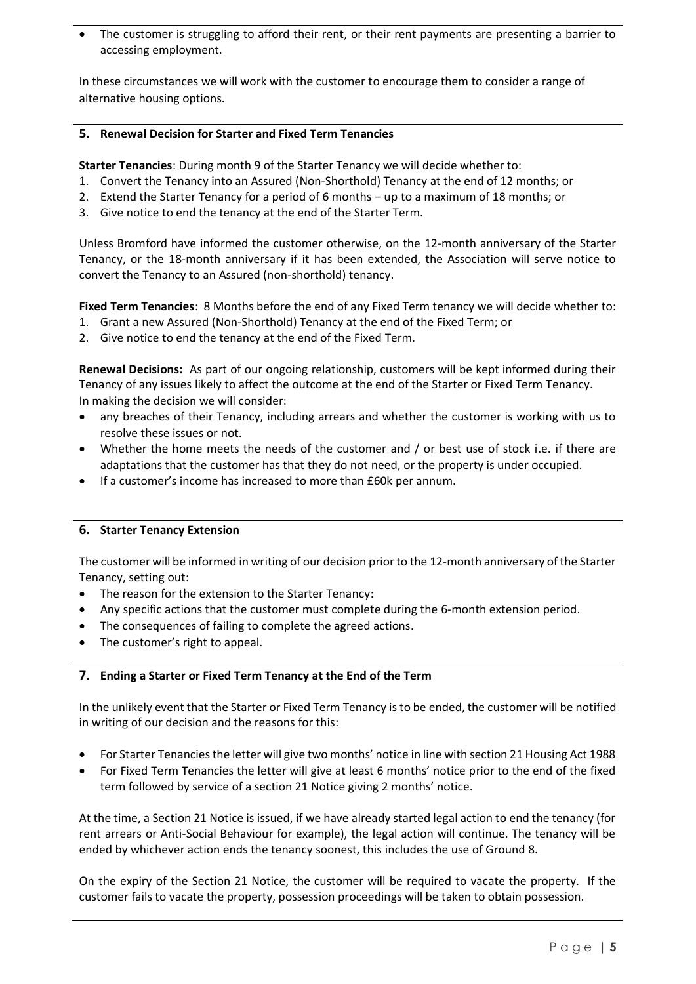The customer is struggling to afford their rent, or their rent payments are presenting a barrier to accessing employment.

In these circumstances we will work with the customer to encourage them to consider a range of alternative housing options.

# <span id="page-4-0"></span>**5. Renewal Decision for Starter and Fixed Term Tenancies**

**Starter Tenancies**: During month 9 of the Starter Tenancy we will decide whether to:

- 1. Convert the Tenancy into an Assured (Non-Shorthold) Tenancy at the end of 12 months; or
- 2. Extend the Starter Tenancy for a period of 6 months up to a maximum of 18 months; or
- 3. Give notice to end the tenancy at the end of the Starter Term.

Unless Bromford have informed the customer otherwise, on the 12-month anniversary of the Starter Tenancy, or the 18-month anniversary if it has been extended, the Association will serve notice to convert the Tenancy to an Assured (non-shorthold) tenancy.

**Fixed Term Tenancies**: 8 Months before the end of any Fixed Term tenancy we will decide whether to:

- 1. Grant a new Assured (Non-Shorthold) Tenancy at the end of the Fixed Term; or
- 2. Give notice to end the tenancy at the end of the Fixed Term.

**Renewal Decisions:** As part of our ongoing relationship, customers will be kept informed during their Tenancy of any issues likely to affect the outcome at the end of the Starter or Fixed Term Tenancy. In making the decision we will consider:

- any breaches of their Tenancy, including arrears and whether the customer is working with us to resolve these issues or not.
- Whether the home meets the needs of the customer and / or best use of stock i.e. if there are adaptations that the customer has that they do not need, or the property is under occupied.
- If a customer's income has increased to more than £60k per annum.

# <span id="page-4-1"></span>**6. Starter Tenancy Extension**

The customer will be informed in writing of our decision prior to the 12-month anniversary of the Starter Tenancy, setting out:

- The reason for the extension to the Starter Tenancy:
- Any specific actions that the customer must complete during the 6-month extension period.
- The consequences of failing to complete the agreed actions.
- The customer's right to appeal.

# <span id="page-4-2"></span>**7. Ending a Starter or Fixed Term Tenancy at the End of the Term**

In the unlikely event that the Starter or Fixed Term Tenancy is to be ended, the customer will be notified in writing of our decision and the reasons for this:

- For Starter Tenancies the letter will give two months' notice in line with section 21 Housing Act 1988
- For Fixed Term Tenancies the letter will give at least 6 months' notice prior to the end of the fixed term followed by service of a section 21 Notice giving 2 months' notice.

At the time, a Section 21 Notice is issued, if we have already started legal action to end the tenancy (for rent arrears or Anti-Social Behaviour for example), the legal action will continue. The tenancy will be ended by whichever action ends the tenancy soonest, this includes the use of Ground 8.

On the expiry of the Section 21 Notice, the customer will be required to vacate the property. If the customer fails to vacate the property, possession proceedings will be taken to obtain possession.